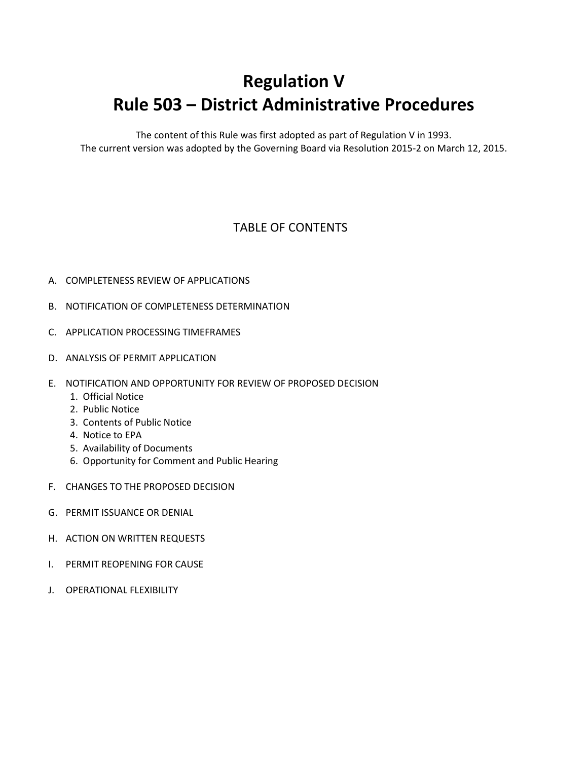## **Regulation V Rule 503 – District Administrative Procedures**

The content of this Rule was first adopted as part of Regulation V in 1993. The current version was adopted by the Governing Board via Resolution 2015-2 on March 12, 2015.

## TABLE OF CONTENTS

- A. COMPLETENESS REVIEW OF APPLICATIONS
- B. NOTIFICATION OF COMPLETENESS DETERMINATION
- C. APPLICATION PROCESSING TIMEFRAMES
- D. ANALYSIS OF PERMIT APPLICATION
- E. NOTIFICATION AND OPPORTUNITY FOR REVIEW OF PROPOSED DECISION
	- 1. Official Notice
	- 2. Public Notice
	- 3. Contents of Public Notice
	- 4. Notice to EPA
	- 5. Availability of Documents
	- 6. Opportunity for Comment and Public Hearing
- F. CHANGES TO THE PROPOSED DECISION
- G. PERMIT ISSUANCE OR DENIAL
- H. ACTION ON WRITTEN REQUESTS
- I. PERMIT REOPENING FOR CAUSE
- J. OPERATIONAL FLEXIBILITY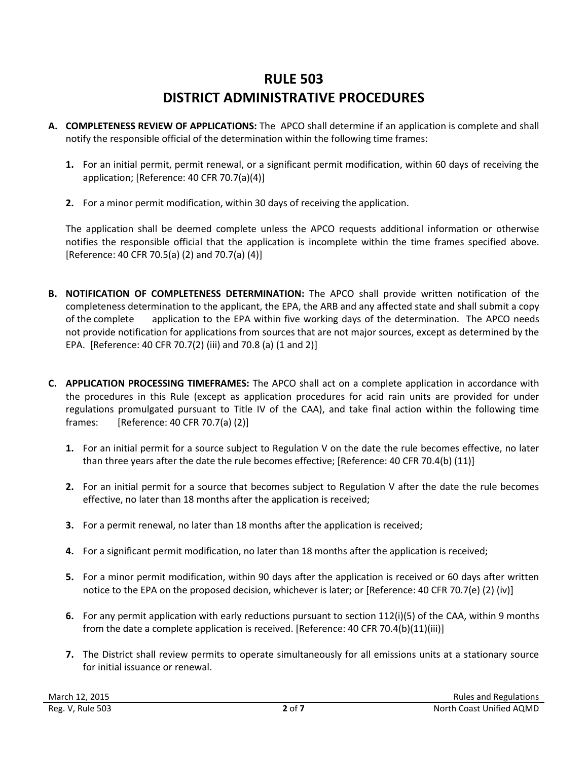## **RULE 503 DISTRICT ADMINISTRATIVE PROCEDURES**

- **A. COMPLETENESS REVIEW OF APPLICATIONS:** The APCO shall determine if an application is complete and shall notify the responsible official of the determination within the following time frames:
	- **1.** For an initial permit, permit renewal, or a significant permit modification, within 60 days of receiving the application; [Reference: 40 CFR 70.7(a)(4)]
	- **2.** For a minor permit modification, within 30 days of receiving the application.

The application shall be deemed complete unless the APCO requests additional information or otherwise notifies the responsible official that the application is incomplete within the time frames specified above. [Reference: 40 CFR 70.5(a) (2) and 70.7(a) (4)]

- **B. NOTIFICATION OF COMPLETENESS DETERMINATION:** The APCO shall provide written notification of the completeness determination to the applicant, the EPA, the ARB and any affected state and shall submit a copy of the complete application to the EPA within five working days of the determination. The APCO needs not provide notification for applications from sources that are not major sources, except as determined by the EPA. [Reference: 40 CFR 70.7(2) (iii) and 70.8 (a) (1 and 2)]
- **C. APPLICATION PROCESSING TIMEFRAMES:** The APCO shall act on a complete application in accordance with the procedures in this Rule (except as application procedures for acid rain units are provided for under regulations promulgated pursuant to Title IV of the CAA), and take final action within the following time frames: [Reference: 40 CFR 70.7(a) (2)]
	- **1.** For an initial permit for a source subject to Regulation V on the date the rule becomes effective, no later than three years after the date the rule becomes effective; [Reference: 40 CFR 70.4(b) (11)]
	- **2.** For an initial permit for a source that becomes subject to Regulation V after the date the rule becomes effective, no later than 18 months after the application is received;
	- **3.** For a permit renewal, no later than 18 months after the application is received;
	- **4.** For a significant permit modification, no later than 18 months after the application is received;
	- **5.** For a minor permit modification, within 90 days after the application is received or 60 days after written notice to the EPA on the proposed decision, whichever is later; or [Reference: 40 CFR 70.7(e) (2) (iv)]
	- **6.** For any permit application with early reductions pursuant to section 112(i)(5) of the CAA, within 9 months from the date a complete application is received. [Reference: 40 CFR 70.4(b)(11)(iii)]
	- **7.** The District shall review permits to operate simultaneously for all emissions units at a stationary source for initial issuance or renewal.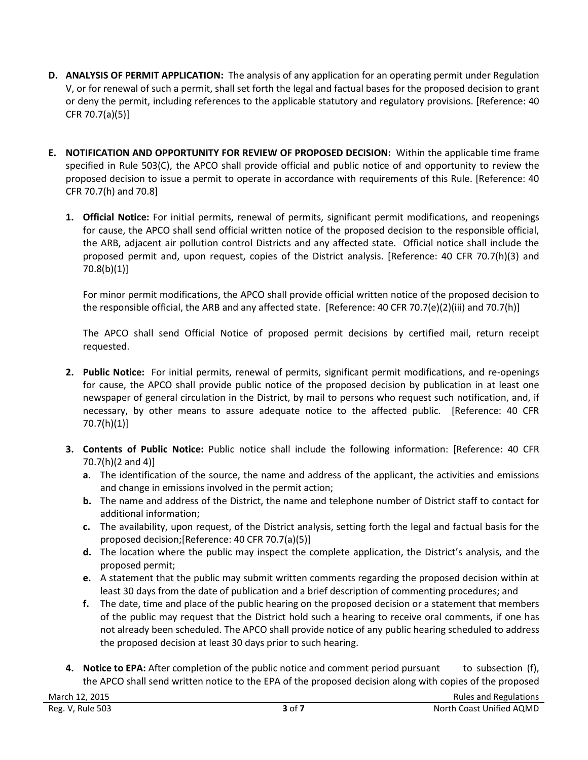- **D. ANALYSIS OF PERMIT APPLICATION:** The analysis of any application for an operating permit under Regulation V, or for renewal of such a permit, shall set forth the legal and factual bases for the proposed decision to grant or deny the permit, including references to the applicable statutory and regulatory provisions. [Reference: 40 CFR 70.7(a)(5)]
- **E. NOTIFICATION AND OPPORTUNITY FOR REVIEW OF PROPOSED DECISION:** Within the applicable time frame specified in Rule 503(C), the APCO shall provide official and public notice of and opportunity to review the proposed decision to issue a permit to operate in accordance with requirements of this Rule. [Reference: 40 CFR 70.7(h) and 70.8]
	- **1. Official Notice:** For initial permits, renewal of permits, significant permit modifications, and reopenings for cause, the APCO shall send official written notice of the proposed decision to the responsible official, the ARB, adjacent air pollution control Districts and any affected state. Official notice shall include the proposed permit and, upon request, copies of the District analysis. [Reference: 40 CFR 70.7(h)(3) and 70.8(b)(1)]

For minor permit modifications, the APCO shall provide official written notice of the proposed decision to the responsible official, the ARB and any affected state. [Reference: 40 CFR 70.7(e)(2)(iii) and 70.7(h)]

The APCO shall send Official Notice of proposed permit decisions by certified mail, return receipt requested.

- **2. Public Notice:** For initial permits, renewal of permits, significant permit modifications, and re-openings for cause, the APCO shall provide public notice of the proposed decision by publication in at least one newspaper of general circulation in the District, by mail to persons who request such notification, and, if necessary, by other means to assure adequate notice to the affected public. [Reference: 40 CFR 70.7(h)(1)]
- **3. Contents of Public Notice:** Public notice shall include the following information: [Reference: 40 CFR 70.7(h)(2 and 4)]
	- **a.** The identification of the source, the name and address of the applicant, the activities and emissions and change in emissions involved in the permit action;
	- **b.** The name and address of the District, the name and telephone number of District staff to contact for additional information;
	- **c.** The availability, upon request, of the District analysis, setting forth the legal and factual basis for the proposed decision;[Reference: 40 CFR 70.7(a)(5)]
	- **d.** The location where the public may inspect the complete application, the District's analysis, and the proposed permit;
	- **e.** A statement that the public may submit written comments regarding the proposed decision within at least 30 days from the date of publication and a brief description of commenting procedures; and
	- **f.** The date, time and place of the public hearing on the proposed decision or a statement that members of the public may request that the District hold such a hearing to receive oral comments, if one has not already been scheduled. The APCO shall provide notice of any public hearing scheduled to address the proposed decision at least 30 days prior to such hearing.
- **4. Notice to EPA:** After completion of the public notice and comment period pursuant to subsection (f), the APCO shall send written notice to the EPA of the proposed decision along with copies of the proposed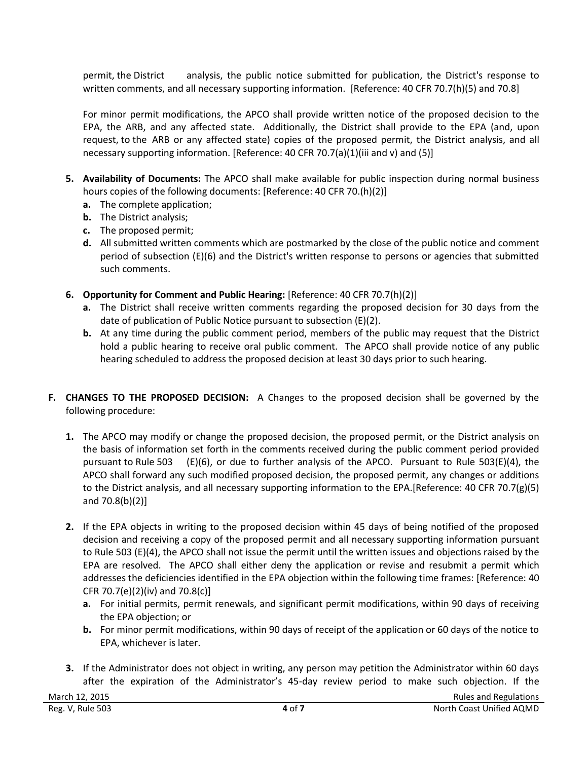permit, the District analysis, the public notice submitted for publication, the District's response to written comments, and all necessary supporting information. [Reference: 40 CFR 70.7(h)(5) and 70.8]

For minor permit modifications, the APCO shall provide written notice of the proposed decision to the EPA, the ARB, and any affected state. Additionally, the District shall provide to the EPA (and, upon request, to the ARB or any affected state) copies of the proposed permit, the District analysis, and all necessary supporting information. [Reference: 40 CFR 70.7(a)(1)(iii and v) and (5)]

- **5. Availability of Documents:** The APCO shall make available for public inspection during normal business hours copies of the following documents: [Reference: 40 CFR 70.(h)(2)]
	- **a.** The complete application;
	- **b.** The District analysis;
	- **c.** The proposed permit;
	- **d.** All submitted written comments which are postmarked by the close of the public notice and comment period of subsection (E)(6) and the District's written response to persons or agencies that submitted such comments.
- **6. Opportunity for Comment and Public Hearing:** [Reference: 40 CFR 70.7(h)(2)]
	- **a.** The District shall receive written comments regarding the proposed decision for 30 days from the date of publication of Public Notice pursuant to subsection (E)(2).
	- **b.** At any time during the public comment period, members of the public may request that the District hold a public hearing to receive oral public comment. The APCO shall provide notice of any public hearing scheduled to address the proposed decision at least 30 days prior to such hearing.
- **F. CHANGES TO THE PROPOSED DECISION:** A Changes to the proposed decision shall be governed by the following procedure:
	- **1.** The APCO may modify or change the proposed decision, the proposed permit, or the District analysis on the basis of information set forth in the comments received during the public comment period provided pursuant to Rule 503 (E)(6), or due to further analysis of the APCO. Pursuant to Rule 503(E)(4), the APCO shall forward any such modified proposed decision, the proposed permit, any changes or additions to the District analysis, and all necessary supporting information to the EPA.[Reference: 40 CFR 70.7(g)(5) and 70.8(b)(2)]
	- **2.** If the EPA objects in writing to the proposed decision within 45 days of being notified of the proposed decision and receiving a copy of the proposed permit and all necessary supporting information pursuant to Rule 503 (E)(4), the APCO shall not issue the permit until the written issues and objections raised by the EPA are resolved. The APCO shall either deny the application or revise and resubmit a permit which addresses the deficiencies identified in the EPA objection within the following time frames: [Reference: 40 CFR 70.7(e)(2)(iv) and 70.8(c)]
		- **a.** For initial permits, permit renewals, and significant permit modifications, within 90 days of receiving the EPA objection; or
		- **b.** For minor permit modifications, within 90 days of receipt of the application or 60 days of the notice to EPA, whichever is later.
	- **3.** If the Administrator does not object in writing, any person may petition the Administrator within 60 days after the expiration of the Administrator's 45-day review period to make such objection. If the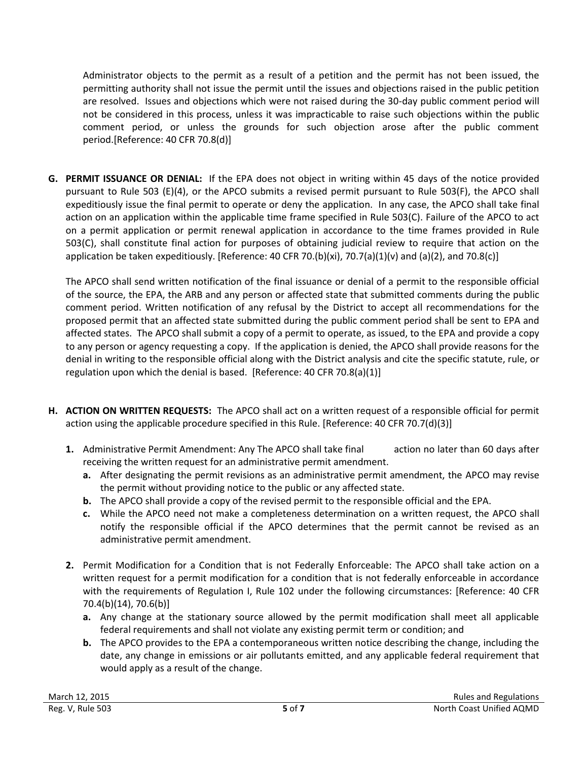Administrator objects to the permit as a result of a petition and the permit has not been issued, the permitting authority shall not issue the permit until the issues and objections raised in the public petition are resolved. Issues and objections which were not raised during the 30-day public comment period will not be considered in this process, unless it was impracticable to raise such objections within the public comment period, or unless the grounds for such objection arose after the public comment period.[Reference: 40 CFR 70.8(d)]

**G. PERMIT ISSUANCE OR DENIAL:** If the EPA does not object in writing within 45 days of the notice provided pursuant to Rule 503 (E)(4), or the APCO submits a revised permit pursuant to Rule 503(F), the APCO shall expeditiously issue the final permit to operate or deny the application. In any case, the APCO shall take final action on an application within the applicable time frame specified in Rule 503(C). Failure of the APCO to act on a permit application or permit renewal application in accordance to the time frames provided in Rule 503(C), shall constitute final action for purposes of obtaining judicial review to require that action on the application be taken expeditiously. [Reference: 40 CFR 70.(b)(xi), 70.7(a)(1)(v) and (a)(2), and 70.8(c)]

The APCO shall send written notification of the final issuance or denial of a permit to the responsible official of the source, the EPA, the ARB and any person or affected state that submitted comments during the public comment period. Written notification of any refusal by the District to accept all recommendations for the proposed permit that an affected state submitted during the public comment period shall be sent to EPA and affected states. The APCO shall submit a copy of a permit to operate, as issued, to the EPA and provide a copy to any person or agency requesting a copy. If the application is denied, the APCO shall provide reasons for the denial in writing to the responsible official along with the District analysis and cite the specific statute, rule, or regulation upon which the denial is based. [Reference: 40 CFR 70.8(a)(1)]

- **H. ACTION ON WRITTEN REQUESTS:** The APCO shall act on a written request of a responsible official for permit action using the applicable procedure specified in this Rule. [Reference: 40 CFR 70.7(d)(3)]
	- **1.** Administrative Permit Amendment: Any The APCO shall take final action no later than 60 days after receiving the written request for an administrative permit amendment.
		- **a.** After designating the permit revisions as an administrative permit amendment, the APCO may revise the permit without providing notice to the public or any affected state.
		- **b.** The APCO shall provide a copy of the revised permit to the responsible official and the EPA.
		- **c.** While the APCO need not make a completeness determination on a written request, the APCO shall notify the responsible official if the APCO determines that the permit cannot be revised as an administrative permit amendment.
	- **2.** Permit Modification for a Condition that is not Federally Enforceable: The APCO shall take action on a written request for a permit modification for a condition that is not federally enforceable in accordance with the requirements of Regulation I, Rule 102 under the following circumstances: [Reference: 40 CFR 70.4(b)(14), 70.6(b)]
		- **a.** Any change at the stationary source allowed by the permit modification shall meet all applicable federal requirements and shall not violate any existing permit term or condition; and
		- **b.** The APCO provides to the EPA a contemporaneous written notice describing the change, including the date, any change in emissions or air pollutants emitted, and any applicable federal requirement that would apply as a result of the change.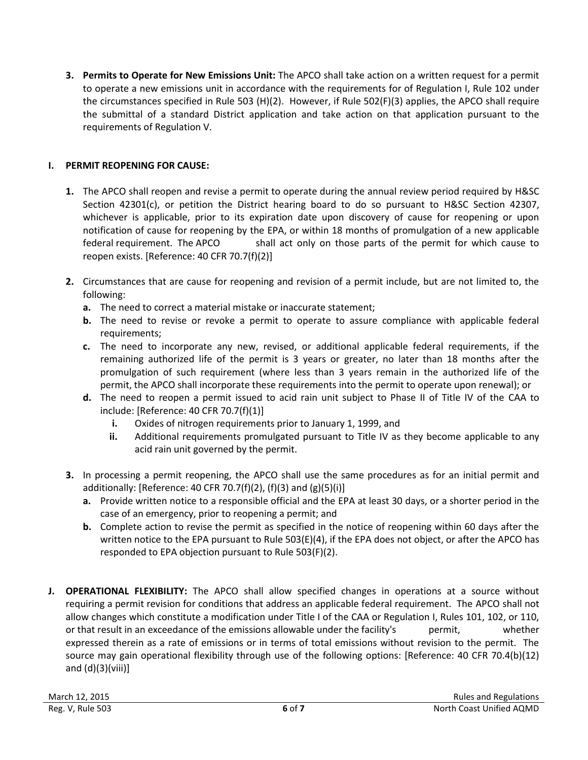**3. Permits to Operate for New Emissions Unit:** The APCO shall take action on a written request for a permit to operate a new emissions unit in accordance with the requirements for of Regulation I, Rule 102 under the circumstances specified in Rule 503 (H)(2). However, if Rule 502(F)(3) applies, the APCO shall require the submittal of a standard District application and take action on that application pursuant to the requirements of Regulation V.

## **I. PERMIT REOPENING FOR CAUSE:**

- **1.** The APCO shall reopen and revise a permit to operate during the annual review period required by H&SC Section 42301(c), or petition the District hearing board to do so pursuant to H&SC Section 42307, whichever is applicable, prior to its expiration date upon discovery of cause for reopening or upon notification of cause for reopening by the EPA, or within 18 months of promulgation of a new applicable federal requirement. The APCO shall act only on those parts of the permit for which cause to reopen exists. [Reference: 40 CFR 70.7(f)(2)]
- **2.** Circumstances that are cause for reopening and revision of a permit include, but are not limited to, the following:
	- **a.** The need to correct a material mistake or inaccurate statement;
	- **b.** The need to revise or revoke a permit to operate to assure compliance with applicable federal requirements;
	- **c.** The need to incorporate any new, revised, or additional applicable federal requirements, if the remaining authorized life of the permit is 3 years or greater, no later than 18 months after the promulgation of such requirement (where less than 3 years remain in the authorized life of the permit, the APCO shall incorporate these requirements into the permit to operate upon renewal); or
	- **d.** The need to reopen a permit issued to acid rain unit subject to Phase II of Title IV of the CAA to include: [Reference: 40 CFR 70.7(f)(1)]
		- **i.** Oxides of nitrogen requirements prior to January 1, 1999, and
		- **ii.** Additional requirements promulgated pursuant to Title IV as they become applicable to any acid rain unit governed by the permit.
- **3.** In processing a permit reopening, the APCO shall use the same procedures as for an initial permit and additionally: [Reference: 40 CFR 70.7(f)(2), (f)(3) and  $(g)(5)(i)$ ]
	- **a.** Provide written notice to a responsible official and the EPA at least 30 days, or a shorter period in the case of an emergency, prior to reopening a permit; and
	- **b.** Complete action to revise the permit as specified in the notice of reopening within 60 days after the written notice to the EPA pursuant to Rule 503(E)(4), if the EPA does not object, or after the APCO has responded to EPA objection pursuant to Rule 503(F)(2).
- **J. OPERATIONAL FLEXIBILITY:** The APCO shall allow specified changes in operations at a source without requiring a permit revision for conditions that address an applicable federal requirement. The APCO shall not allow changes which constitute a modification under Title I of the CAA or Regulation I, Rules 101, 102, or 110, or that result in an exceedance of the emissions allowable under the facility's permit, whether expressed therein as a rate of emissions or in terms of total emissions without revision to the permit. The source may gain operational flexibility through use of the following options: [Reference: 40 CFR 70.4(b)(12) and  $(d)(3)(viii)$ ]